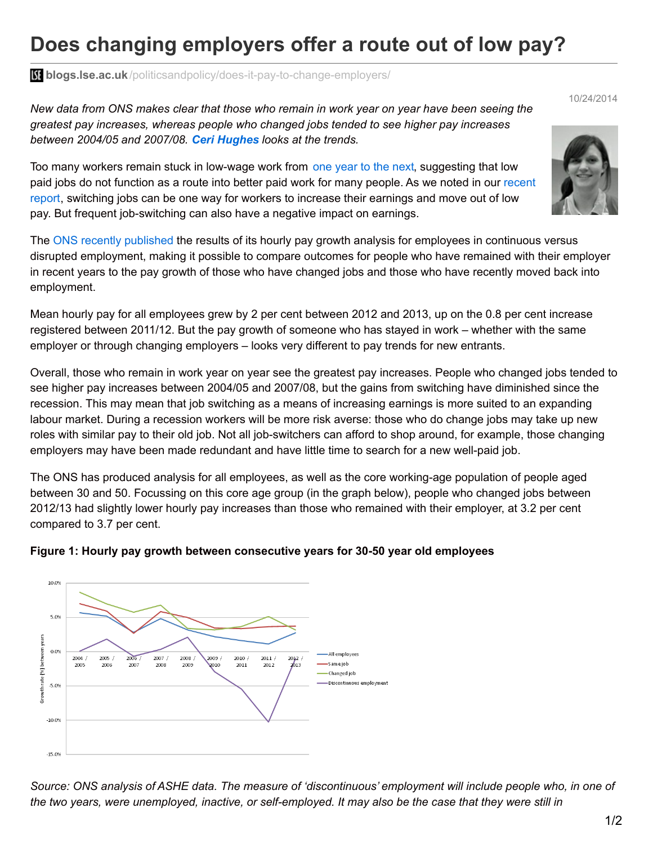## **Does changing employers offer a route out of low pay?**

**blogs.lse.ac.uk**[/politicsandpolicy/does-it-pay-to-change-employers/](http://blogs.lse.ac.uk/politicsandpolicy/does-it-pay-to-change-employers/)

New data from ONS makes clear that those who remain in work year on year have been seeing the *greatest pay increases, whereas people who changed jobs tended to see higher pay increases between 2004/05 and 2007/08. Ceri Hughes looks at the trends.*

Too many workers remain stuck in low-wage work from one [year](http://www.resolutionfoundation.org/wp-content/uploads/2014/08/Starting-out-or-getting-stuck-FINAL.pdf) to the next, suggesting that low paid jobs do not function as a route into better paid work for many people. As we noted in our recent report, [switching](http://www.theworkfoundation.com/Reports/365/Rising-to-the-Challenge-A-policy-agenda-to-tackle-low-pay) jobs can be one way for workers to increase their earnings and move out of low pay. But frequent job-switching can also have a negative impact on earnings.

The ONS recently [published](http://www.ons.gov.uk/ons/about-ons/business-transparency/freedom-of-information/what-can-i-request/published-ad-hoc-data/labour/october-2014/pay-growth-for-employees-in-continuous-and-discontinuous-employmen.xls) the results of its hourly pay growth analysis for employees in continuous versus disrupted employment, making it possible to compare outcomes for people who have remained with their employer in recent years to the pay growth of those who have changed jobs and those who have recently moved back into employment.

Mean hourly pay for all employees grew by 2 per cent between 2012 and 2013, up on the 0.8 per cent increase registered between 2011/12. But the pay growth of someone who has stayed in work – whether with the same employer or through changing employers – looks very different to pay trends for new entrants.

Overall, those who remain in work year on year see the greatest pay increases. People who changed jobs tended to see higher pay increases between 2004/05 and 2007/08, but the gains from switching have diminished since the recession. This may mean that job switching as a means of increasing earnings is more suited to an expanding labour market. During a recession workers will be more risk averse: those who do change jobs may take up new roles with similar pay to their old job. Not all job-switchers can afford to shop around, for example, those changing employers may have been made redundant and have little time to search for a new well-paid job.

The ONS has produced analysis for all employees, as well as the core working-age population of people aged between 30 and 50. Focussing on this core age group (in the graph below), people who changed jobs between 2012/13 had slightly lower hourly pay increases than those who remained with their employer, at 3.2 per cent compared to 3.7 per cent.



## **Figure 1: Hourly pay growth between consecutive years for 30-50 year old employees**

Source: ONS analysis of ASHE data. The measure of 'discontinuous' employment will include people who, in one of the two years, were unemployed, inactive, or self-employed. It may also be the case that they were still in



10/24/2014